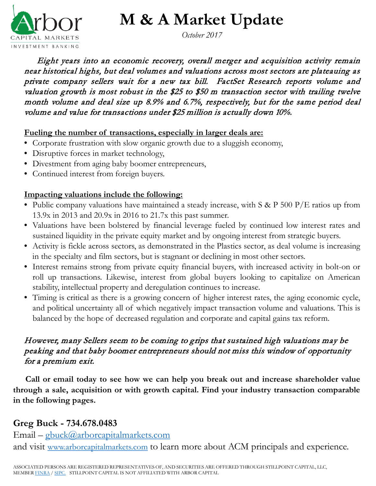

**M & A Market Update**

*October 2017*

 Eight years into an economic recovery, overall merger and acquisition activity remain near historical highs, but deal volumes and valuations across most sectors are plateauing as private company sellers wait for a new tax bill. FactSet Research reports volume and valuation growth is most robust in the \$25 to \$50 m transaction sector with trailing twelve month volume and deal size up 8.9% and 6.7%, respectively, but for the same period deal volume and value for transactions under \$25 million is actually down 10%.

#### **Fueling the number of transactions, especially in larger deals are:**

- Corporate frustration with slow organic growth due to a sluggish economy,
- Disruptive forces in market technology,
- Divestment from aging baby boomer entrepreneurs,
- Continued interest from foreign buyers.

#### **Impacting valuations include the following:**

- Public company valuations have maintained a steady increase, with S & P 500 P/E ratios up from 13.9x in 2013 and 20.9x in 2016 to 21.7x this past summer.
- Valuations have been bolstered by financial leverage fueled by continued low interest rates and sustained liquidity in the private equity market and by ongoing interest from strategic buyers.
- Activity is fickle across sectors, as demonstrated in the Plastics sector, as deal volume is increasing in the specialty and film sectors, but is stagnant or declining in most other sectors.
- Interest remains strong from private equity financial buyers, with increased activity in bolt-on or roll up transactions. Likewise, interest from global buyers looking to capitalize on American stability, intellectual property and deregulation continues to increase.
- Timing is critical as there is a growing concern of higher interest rates, the aging economic cycle, and political uncertainty all of which negatively impact transaction volume and valuations. This is balanced by the hope of decreased regulation and corporate and capital gains tax reform.

#### However, many Sellers seem to be coming to grips that sustained high valuations may be peaking and that baby boomer entrepreneurs should not miss this window of opportunity for a premium exit.

 **Call or email today to see how we can help you break out and increase shareholder value through a sale, acquisition or with growth capital. Find your industry transaction comparable in the following pages.**

#### **Greg Buck - 734.678.0483**

Email – [gbuck@arborcapitalmarkets.com](mailto:gbuck@arborcapitalmarkets.com) and visit [www.arborcapitalmarkets.com](http://www.arborcapitalmarkets.com/) to learn more about ACM principals and experience.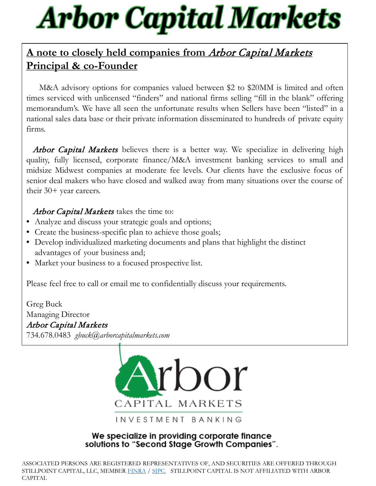# **Arbor Capital Markets**

### **A note to closely held companies from** Arbor Capital Markets **Principal & co-Founder**

 M&A advisory options for companies valued between \$2 to \$20MM is limited and often times serviced with unlicensed "finders" and national firms selling "fill in the blank" offering memorandum's. We have all seen the unfortunate results when Sellers have been "listed" in a national sales data base or their private information disseminated to hundreds of private equity firms.

**Arbor Capital Markets** believes there is a better way. We specialize in delivering high quality, fully licensed, corporate finance/M&A investment banking services to small and midsize Midwest companies at moderate fee levels. Our clients have the exclusive focus of senior deal makers who have closed and walked away from many situations over the course of their 30+ year careers.

Arbor Capital Markets takes the time to:

- Analyze and discuss your strategic goals and options;
- Create the business-specific plan to achieve those goals;
- Develop individualized marketing documents and plans that highlight the distinct advantages of your business and;
- Market your business to a focused prospective list.

Please feel free to call or email me to confidentially discuss your requirements.

Greg Buck Managing Director Arbor Capital Markets 734.678.0483 *gbuck@arborcapitalmarkets.com*



#### We specialize in providing corporate finance solutions to "Second Stage Growth Companies".

ASSOCIATED PERSONS ARE REGISTERED REPRESENTATIVES OF, AND SECURITIES ARE OFFERED THROUGH STILLPOINT CAPITAL, LLC, MEMBER [FINRA](http://www.finra.org/) / [SIPC.](http://www.sipc.org/) STILLPOINT CAPITAL IS NOT AFFILIATED WITH ARBOR CAPITAL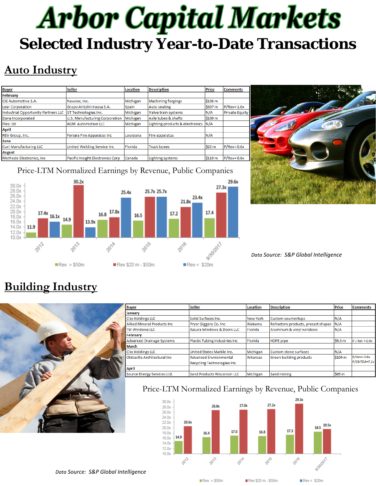# **Arbor Capital Markets Selected Industry Year-to-Date Transactions**

# **Auto Industry**

| <b>Buyer</b>                        | <b>Seller</b>                    | <b>Location</b> | <b>Description</b>              | <b>Price</b> | <b>Comments</b>       |
|-------------------------------------|----------------------------------|-----------------|---------------------------------|--------------|-----------------------|
| February                            |                                  |                 |                                 |              |                       |
| <b>CIE Automotive S.A.</b>          | Newcor, Inc.                     | Michigan        | <b>Machining forgings</b>       | \$106 m      |                       |
| <b>Lear Corporation</b>             | Grupo Antolin Irausa S.A.        | Spain           | Auto seating                    | \$307 m      | $P/Rev = 1.0x$        |
| Industrial Opportunity Partners LLC | GT Technologies Inc.             | Michigan        | Valve train systems             | N/A          | <b>Private Equity</b> |
| Dana Incorporated                   | U.S. Manufacturing Corporation   | Michigan        | Axle tubes & shafts             | \$100 m      |                       |
| Flex Ltd                            | <b>AGM Automotive LLC</b>        | Michigan        | Lighting products & electronics | N/A          |                       |
| April                               |                                  |                 |                                 |              |                       |
| <b>REV Group, Inc.</b>              | Ferrara Fire Apparatus Inc       | Louisiana       | Fire apparatus                  | N/A          |                       |
| June                                |                                  |                 |                                 |              |                       |
| <b>Curt Manufacturing LLC</b>       | United Welding Service Inc.      | Florida         | <b>Truck boxes</b>              | \$22 m       | $P/Rev = 0.6x$        |
| August                              |                                  |                 |                                 |              |                       |
| Methode Electronics, Inc.           | Pacific Insight Electronics Corp | Canada          | <b>Lighting systems</b>         | \$110 m      | $P/Rev = 0.6x$        |



#### Price-LTM Normalized Earnings by Revenue, Public Companies



#### *Data Source: S&P Global Intelligence*

### **Building Industry**



| <b>Buyer</b>                        | <b>Seller</b>                      | Location        | <b>Description</b>                  | Price         | <b>Comments</b>  |
|-------------------------------------|------------------------------------|-----------------|-------------------------------------|---------------|------------------|
| January                             |                                    |                 |                                     |               |                  |
| <b>Clio Holdings LLC</b>            | Solid Surfaces Inc.                | <b>New York</b> | <b>Custom countertops</b>           | N/A           |                  |
| <b>Allied Mineral Products Inc.</b> | Pryor Giggery Co. Inc              | Alabama         | Refractory products, precast shapes | IN/A          |                  |
| TM Windows LLC                      | Assura Windows & Doors LLC         | Florida         | Aluminum & vinyl windows            | N/A           |                  |
| February                            |                                    |                 |                                     |               |                  |
| <b>Advanced Drainage Systems</b>    | Plastic Tubing Industries Inc      | Florida         | <b>HDPE</b> pipe                    | \$9.5 m       | $P / Rev = 0.9x$ |
| March                               |                                    |                 |                                     |               |                  |
| <b>Clio Holdings LLC</b>            | United States Marble Inc.          | Michigan        | N/A<br>Custom stone surfaces        |               |                  |
| Oldcastle Architectural Inc.        | Advanced Environmental             | <b>Arkansas</b> | Green building products             | <b>S104 m</b> | $P/Rev = 0.8x$   |
|                                     | <b>Recycling Technologies Inc.</b> |                 |                                     |               | P/EBITDA=7.2x    |
| April                               |                                    |                 |                                     |               |                  |
| Source Energy Services Ltd.         | Sand Products Wisconsin LLC        | Michigan        | Sand mining                         | \$45 m        |                  |
|                                     |                                    |                 |                                     |               |                  |

#### Price-LTM Normalized Earnings by Revenue, Public Companies



*Data Source: S&P Global Intelligence*

 $Rec > $50m$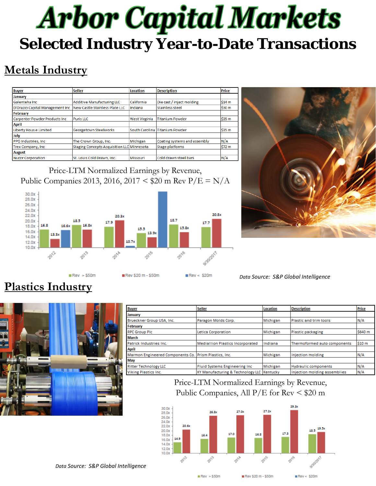# **Arbor Capital Markets Selected Industry Year-to-Date Transactions**

## **Metals Industry**

| <b>Buyer</b>                         | <b>Seller</b>                              | Location             | <b>Description</b>             | Price        |
|--------------------------------------|--------------------------------------------|----------------------|--------------------------------|--------------|
| <b>January</b>                       |                                            |                      |                                |              |
| <b>Galenteha Inc</b>                 | <b>Additive Manufacturing LLC</b>          | California           | Die cast / inject molding      | <b>S14 m</b> |
| D'Orazio Capital Management Inc      | New Castle Stainless Plate LLC             | Indiana              | <b>Stainless steel</b>         | \$30 m       |
| February                             |                                            |                      |                                |              |
| <b>Carpenter Powder Products Inc</b> | Puris LLC                                  | <b>West Virginia</b> | <b>Titanium Powder</b>         | \$35 m       |
| <b>April</b>                         |                                            |                      |                                |              |
| Liberty Hous e Limited               | Georgetown Steelworks                      |                      | South Carolina Titanium Powder | \$35 m       |
| July                                 |                                            |                      |                                |              |
| PPG Industries, Inc.                 | The Crown Group, Inc.                      | Michigan             | Coating systems and assembly   | N/A          |
| <b>Trex Company, Inc.</b>            | Staging Concepts Acquisition LLC Minnesota |                      | <b>Stage platforms</b>         | <b>S72 m</b> |
| <b>August</b>                        |                                            |                      |                                |              |
| <b>Nucor Corporation</b>             | St. Louis Cold Drawn, Inc.                 | Missouri             | Cold drawn steel bars          | N/A          |

Price-LTM Normalized Earnings by Revenue, Public Companies 2013, 2016, 2017 < \$20 m Rev  $P/E = N/A$ 





*Data Source: S&P Global Intelligence*

## **Plastics Industry**



| <b>Buyer</b>                                          | <b>Seller</b>                              | Location | <b>Description</b>           | Price   |
|-------------------------------------------------------|--------------------------------------------|----------|------------------------------|---------|
| January                                               |                                            |          |                              |         |
| Brueckner Group USA, Inc.                             | Paragon Molds Corp.                        | Michigan | Plastic and trim tools       | N/A     |
| February                                              |                                            |          |                              |         |
| <b>RPC Group PIc</b>                                  | Letica Corporation                         | Michigan | Plastic packaging            | \$640 m |
| <b>March</b>                                          |                                            |          |                              |         |
| Patrick Industries Inc.                               | <b>Mediallion Plastics Incorporated</b>    | Indiana  | Thermoformed auto components | S10 m   |
| <b>April</b>                                          |                                            |          |                              |         |
| Marmon Engineered Components Co. Prism Plastics, Inc. |                                            | Michigan | Injection molding            | N/A     |
| May                                                   |                                            |          |                              |         |
| <b>Ritter Technology LLC</b>                          | <b>Fluid Systems Engineering Inc.</b>      | Michigan | <b>Hydraulic components</b>  | N/A     |
| <b>Viking Plastics Inc.</b>                           | KY Manufacturing & Technology LLC Kentucky |          | Injection molding assemblies | N/A     |

#### Price-LTM Normalized Earnings by Revenue, Public Companies, All  $P/E$  for Rev  $\leq$  \$20 m



*Data Source: S&P Global Intelligence*